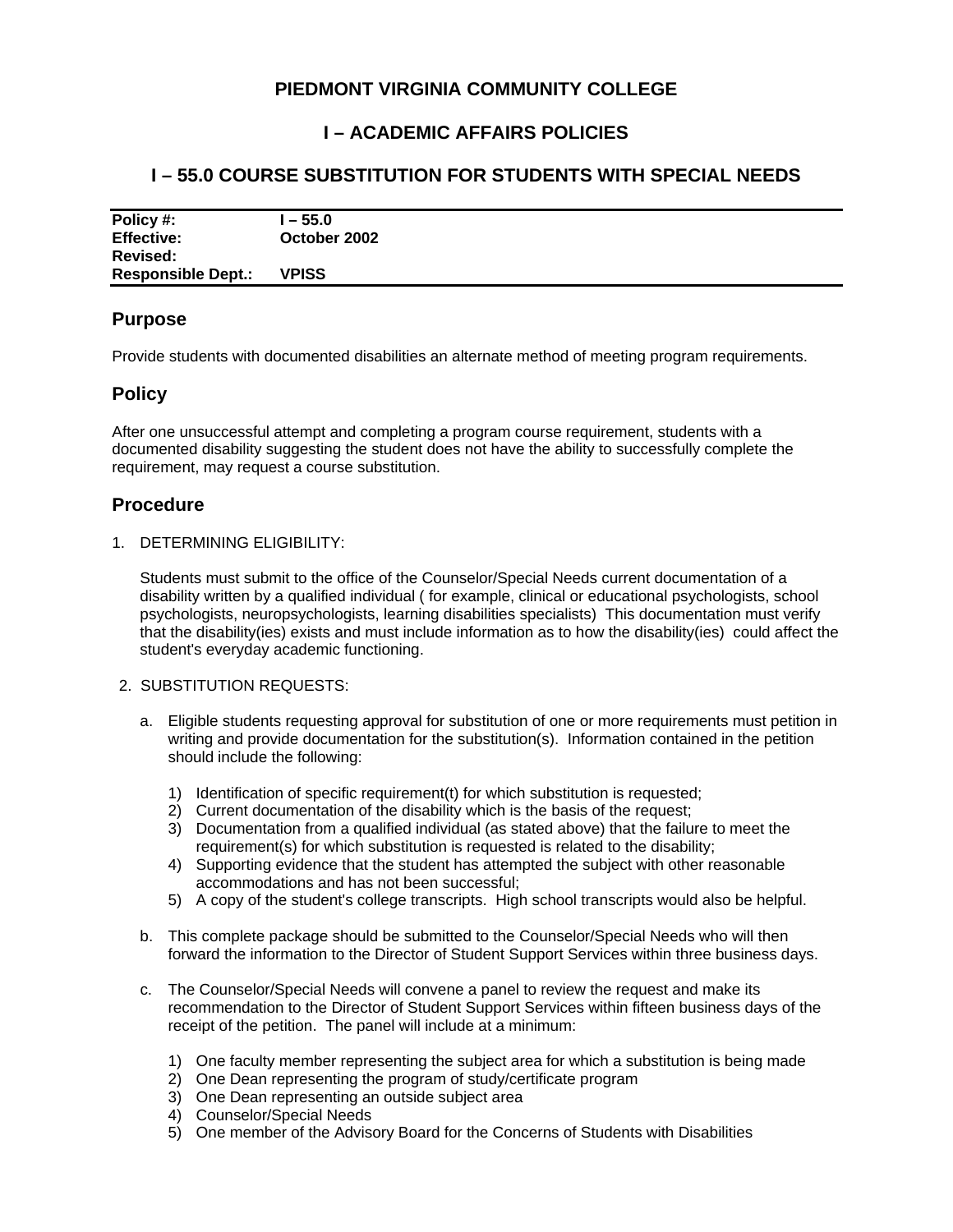# **PIEDMONT VIRGINIA COMMUNITY COLLEGE**

# **I – ACADEMIC AFFAIRS POLICIES**

# **I – 55.0 COURSE SUBSTITUTION FOR STUDENTS WITH SPECIAL NEEDS**

| Policy #:                 | l – 55.0     |
|---------------------------|--------------|
| <b>Effective:</b>         | October 2002 |
| <b>Revised:</b>           |              |
| <b>Responsible Dept.:</b> | <b>VPISS</b> |

### **Purpose**

Provide students with documented disabilities an alternate method of meeting program requirements.

## **Policy**

After one unsuccessful attempt and completing a program course requirement, students with a documented disability suggesting the student does not have the ability to successfully complete the requirement, may request a course substitution.

## **Procedure**

1. DETERMINING ELIGIBILITY:

Students must submit to the office of the Counselor/Special Needs current documentation of a disability written by a qualified individual ( for example, clinical or educational psychologists, school psychologists, neuropsychologists, learning disabilities specialists) This documentation must verify that the disability(ies) exists and must include information as to how the disability(ies) could affect the student's everyday academic functioning.

### 2. SUBSTITUTION REQUESTS:

- a. Eligible students requesting approval for substitution of one or more requirements must petition in writing and provide documentation for the substitution(s). Information contained in the petition should include the following:
	- 1) Identification of specific requirement(t) for which substitution is requested;
	- 2) Current documentation of the disability which is the basis of the request;
	- 3) Documentation from a qualified individual (as stated above) that the failure to meet the requirement(s) for which substitution is requested is related to the disability;
	- 4) Supporting evidence that the student has attempted the subject with other reasonable accommodations and has not been successful;
	- 5) A copy of the student's college transcripts. High school transcripts would also be helpful.
- b. This complete package should be submitted to the Counselor/Special Needs who will then forward the information to the Director of Student Support Services within three business days.
- c. The Counselor/Special Needs will convene a panel to review the request and make its recommendation to the Director of Student Support Services within fifteen business days of the receipt of the petition. The panel will include at a minimum:
	- 1) One faculty member representing the subject area for which a substitution is being made
	- 2) One Dean representing the program of study/certificate program
	- 3) One Dean representing an outside subject area
	- 4) Counselor/Special Needs
	- 5) One member of the Advisory Board for the Concerns of Students with Disabilities